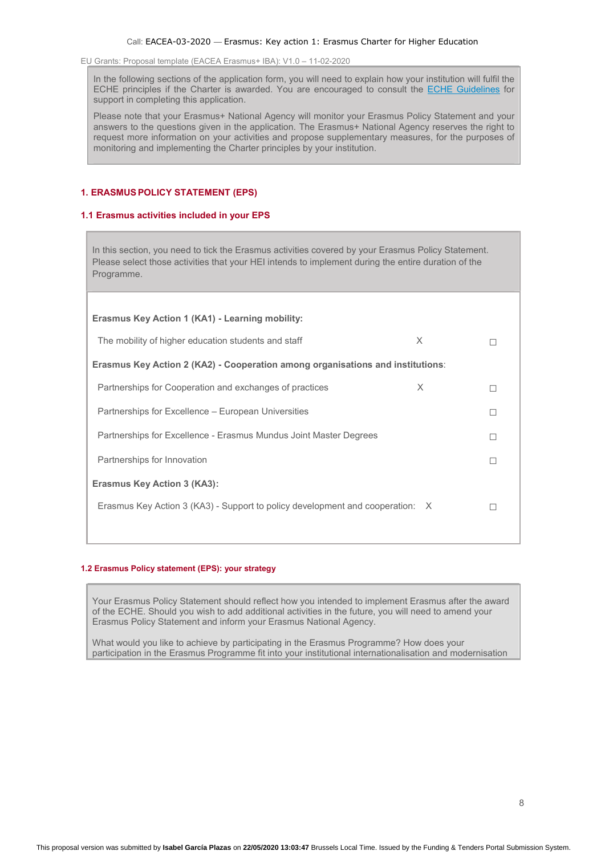In the following sections of the application form, you will need to explain how your institution will fulfil the ECHE principles if the Charter is awarded. You are encouraged to consult the ECHE Guidelines for support in completing this application.

Please note that your Erasmus+ National Agency will monitor your Erasmus Policy Statement and your answers to the questions given in the application. The Erasmus+ National Agency reserves the right to request more information on your activities and propose supplementary measures, for the purposes of monitoring and implementing the Charter principles by your institution.

# 1. ERASMUSPOLICY STATEMENT (EPS)

### 1.1 Erasmus activities included in your EPS

In this section, you need to tick the Erasmus activities covered by your Erasmus Policy Statement. Please select those activities that your HEI intends to implement during the entire duration of the Programme.

| Erasmus Key Action 1 (KA1) - Learning mobility:                                |  |  |
|--------------------------------------------------------------------------------|--|--|
| $\times$<br>The mobility of higher education students and staff                |  |  |
| Erasmus Key Action 2 (KA2) - Cooperation among organisations and institutions: |  |  |
| X<br>Partnerships for Cooperation and exchanges of practices                   |  |  |
| Partnerships for Excellence – European Universities                            |  |  |
| Partnerships for Excellence - Erasmus Mundus Joint Master Degrees              |  |  |
| Partnerships for Innovation                                                    |  |  |
| <b>Erasmus Key Action 3 (KA3):</b>                                             |  |  |
| Erasmus Key Action 3 (KA3) - Support to policy development and cooperation: X  |  |  |
|                                                                                |  |  |

### 1.2 Erasmus Policy statement (EPS): your strategy

Your Erasmus Policy Statement should reflect how you intended to implement Erasmus after the award of the ECHE. Should you wish to add additional activities in the future, you will need to amend your Erasmus Policy Statement and inform your Erasmus National Agency.

What would you like to achieve by participating in the Erasmus Programme? How does your participation in the Erasmus Programme fit into your institutional internationalisation and modernisation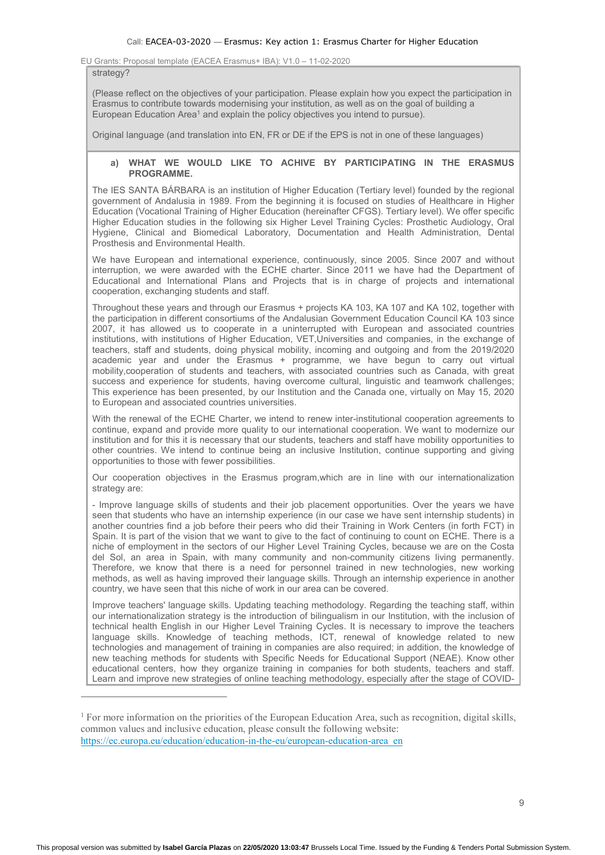#### strategy?

 $\overline{a}$ 

(Please reflect on the objectives of your participation. Please explain how you expect the participation in Erasmus to contribute towards modernising your institution, as well as on the goal of building a European Education Area<sup>1</sup> and explain the policy objectives you intend to pursue).

Original language (and translation into EN, FR or DE if the EPS is not in one of these languages)

## a) WHAT WE WOULD LIKE TO ACHIVE BY PARTICIPATING IN THE ERASMUS PROGRAMME.

The IES SANTA BÁRBARA is an institution of Higher Education (Tertiary level) founded by the regional government of Andalusia in 1989. From the beginning it is focused on studies of Healthcare in Higher Education (Vocational Training of Higher Education (hereinafter CFGS). Tertiary level). We offer specific Higher Education studies in the following six Higher Level Training Cycles: Prosthetic Audiology, Oral Hygiene, Clinical and Biomedical Laboratory, Documentation and Health Administration, Dental Prosthesis and Environmental Health.

We have European and international experience, continuously, since 2005. Since 2007 and without interruption, we were awarded with the ECHE charter. Since 2011 we have had the Department of Educational and International Plans and Projects that is in charge of projects and international cooperation, exchanging students and staff.

Throughout these years and through our Erasmus + projects KA 103, KA 107 and KA 102, together with the participation in different consortiums of the Andalusian Government Education Council KA 103 since 2007, it has allowed us to cooperate in a uninterrupted with European and associated countries institutions, with institutions of Higher Education, VET,Universities and companies, in the exchange of teachers, staff and students, doing physical mobility, incoming and outgoing and from the 2019/2020 academic year and under the Erasmus + programme, we have begun to carry out virtual mobility,cooperation of students and teachers, with associated countries such as Canada, with great success and experience for students, having overcome cultural, linguistic and teamwork challenges; This experience has been presented, by our Institution and the Canada one, virtually on May 15, 2020 to European and associated countries universities.

With the renewal of the ECHE Charter, we intend to renew inter-institutional cooperation agreements to continue, expand and provide more quality to our international cooperation. We want to modernize our institution and for this it is necessary that our students, teachers and staff have mobility opportunities to other countries. We intend to continue being an inclusive Institution, continue supporting and giving opportunities to those with fewer possibilities.

Our cooperation objectives in the Erasmus program,which are in line with our internationalization strategy are:

- Improve language skills of students and their job placement opportunities. Over the years we have seen that students who have an internship experience (in our case we have sent internship students) in another countries find a job before their peers who did their Training in Work Centers (in forth FCT) in Spain. It is part of the vision that we want to give to the fact of continuing to count on ECHE. There is a niche of employment in the sectors of our Higher Level Training Cycles, because we are on the Costa del Sol, an area in Spain, with many community and non-community citizens living permanently. Therefore, we know that there is a need for personnel trained in new technologies, new working methods, as well as having improved their language skills. Through an internship experience in another country, we have seen that this niche of work in our area can be covered.

Improve teachers' language skills. Updating teaching methodology. Regarding the teaching staff, within our internationalization strategy is the introduction of bilingualism in our Institution, with the inclusion of technical health English in our Higher Level Training Cycles. It is necessary to improve the teachers language skills. Knowledge of teaching methods, ICT, renewal of knowledge related to new technologies and management of training in companies are also required; in addition, the knowledge of new teaching methods for students with Specific Needs for Educational Support (NEAE). Know other educational centers, how they organize training in companies for both students, teachers and staff. Learn and improve new strategies of online teaching methodology, especially after the stage of COVID-

<sup>&</sup>lt;sup>1</sup> For more information on the priorities of the European Education Area, such as recognition, digital skills, common values and inclusive education, please consult the following website: https://ec.europa.eu/education/education-in-the-eu/european-education-area\_en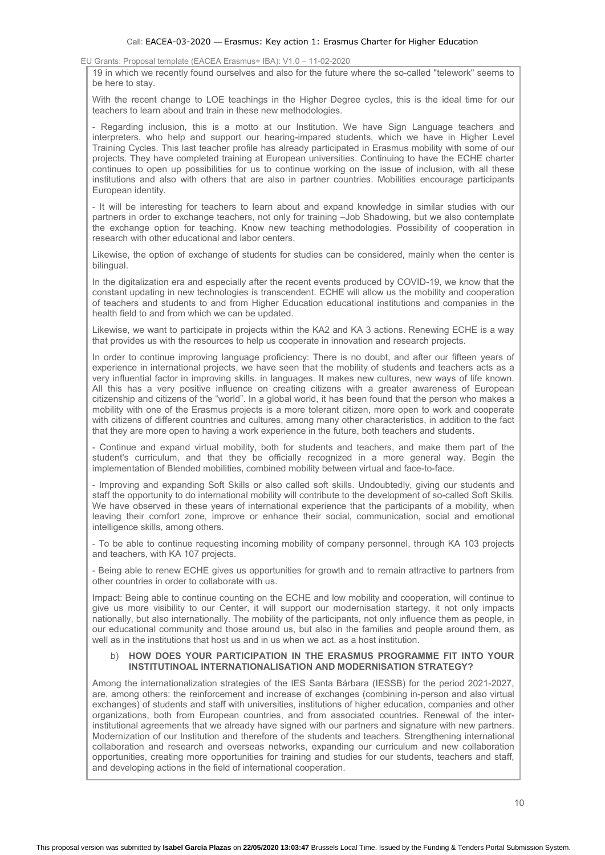19 in which we recently found ourselves and also for the future where the so-called "telework" seems to be here to stay.

With the recent change to LOE teachings in the Higher Degree cycles, this is the ideal time for our teachers to learn about and train in these new methodologies.

- Regarding inclusion, this is a motto at our Institution. We have Sign Language teachers and interpreters, who help and support our hearing-impared students, which we have in Higher Level Training Cycles. This last teacher profile has already participated in Erasmus mobility with some of our projects. They have completed training at European universities. Continuing to have the ECHE charter continues to open up possibilities for us to continue working on the issue of inclusion, with all these institutions and also with others that are also in partner countries. Mobilities encourage participants European identity.

- It will be interesting for teachers to learn about and expand knowledge in similar studies with our partners in order to exchange teachers, not only for training –Job Shadowing, but we also contemplate the exchange option for teaching. Know new teaching methodologies. Possibility of cooperation in research with other educational and labor centers.

Likewise, the option of exchange of students for studies can be considered, mainly when the center is bilingual.

In the digitalization era and especially after the recent events produced by COVID-19, we know that the constant updating in new technologies is transcendent. ECHE will allow us the mobility and cooperation of teachers and students to and from Higher Education educational institutions and companies in the health field to and from which we can be updated.

Likewise, we want to participate in projects within the KA2 and KA 3 actions. Renewing ECHE is a way that provides us with the resources to help us cooperate in innovation and research projects.

In order to continue improving language proficiency: There is no doubt, and after our fifteen years of experience in international projects, we have seen that the mobility of students and teachers acts as a very influential factor in improving skills. in languages. It makes new cultures, new ways of life known. All this has a very positive influence on creating citizens with a greater awareness of European citizenship and citizens of the "world". In a global world, it has been found that the person who makes a mobility with one of the Erasmus projects is a more tolerant citizen, more open to work and cooperate with citizens of different countries and cultures, among many other characteristics, in addition to the fact that they are more open to having a work experience in the future, both teachers and students.

- Continue and expand virtual mobility, both for students and teachers, and make them part of the student's curriculum, and that they be officially recognized in a more general way. Begin the implementation of Blended mobilities, combined mobility between virtual and face-to-face.

- Improving and expanding Soft Skills or also called soft skills. Undoubtedly, giving our students and staff the opportunity to do international mobility will contribute to the development of so-called Soft Skills. We have observed in these years of international experience that the participants of a mobility, when leaving their comfort zone, improve or enhance their social, communication, social and emotional intelligence skills, among others.

- To be able to continue requesting incoming mobility of company personnel, through KA 103 projects and teachers, with KA 107 projects.

- Being able to renew ECHE gives us opportunities for growth and to remain attractive to partners from other countries in order to collaborate with us.

Impact: Being able to continue counting on the ECHE and low mobility and cooperation, will continue to give us more visibility to our Center, it will support our modernisation startegy, it not only impacts nationally, but also internationally. The mobility of the participants, not only influence them as people, in our educational community and those around us, but also in the families and people around them, as well as in the institutions that host us and in us when we act. as a host institution.

## b) HOW DOES YOUR PARTICIPATION IN THE ERASMUS PROGRAMME FIT INTO YOUR INSTITUTINOAL INTERNATIONALISATION AND MODERNISATION STRATEGY?

Among the internationalization strategies of the IES Santa Bárbara (IESSB) for the period 2021-2027, are, among others: the reinforcement and increase of exchanges (combining in-person and also virtual exchanges) of students and staff with universities, institutions of higher education, companies and other organizations, both from European countries, and from associated countries. Renewal of the interinstitutional agreements that we already have signed with our partners and signature with new partners. Modernization of our Institution and therefore of the students and teachers. Strengthening international collaboration and research and overseas networks, expanding our curriculum and new collaboration opportunities, creating more opportunities for training and studies for our students, teachers and staff, and developing actions in the field of international cooperation.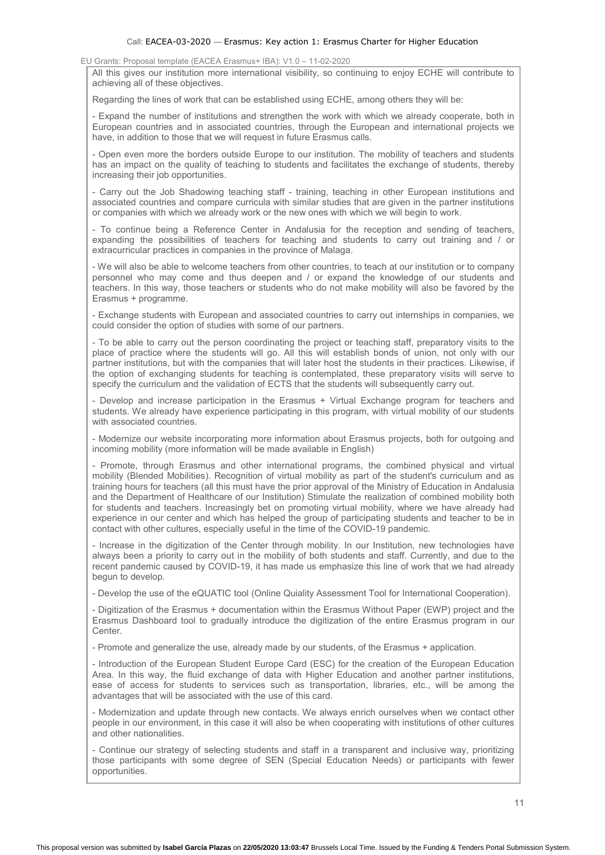#### Call: EACEA-03-2020 — Erasmus: Key action 1: Erasmus Charter for Higher Education

EU Grants: Proposal template (EACEA Erasmus+ IBA): V1.0 – 11-02-2020

All this gives our institution more international visibility, so continuing to enjoy ECHE will contribute to achieving all of these objectives.

Regarding the lines of work that can be established using ECHE, among others they will be:

- Expand the number of institutions and strengthen the work with which we already cooperate, both in European countries and in associated countries, through the European and international projects we have, in addition to those that we will request in future Erasmus calls.

- Open even more the borders outside Europe to our institution. The mobility of teachers and students has an impact on the quality of teaching to students and facilitates the exchange of students, thereby increasing their job opportunities.

- Carry out the Job Shadowing teaching staff - training, teaching in other European institutions and associated countries and compare curricula with similar studies that are given in the partner institutions or companies with which we already work or the new ones with which we will begin to work.

- To continue being a Reference Center in Andalusia for the reception and sending of teachers, expanding the possibilities of teachers for teaching and students to carry out training and / or extracurricular practices in companies in the province of Malaga.

- We will also be able to welcome teachers from other countries, to teach at our institution or to company personnel who may come and thus deepen and / or expand the knowledge of our students and teachers. In this way, those teachers or students who do not make mobility will also be favored by the Erasmus + programme.

- Exchange students with European and associated countries to carry out internships in companies, we could consider the option of studies with some of our partners.

- To be able to carry out the person coordinating the project or teaching staff, preparatory visits to the place of practice where the students will go. All this will establish bonds of union, not only with our partner institutions, but with the companies that will later host the students in their practices. Likewise, if the option of exchanging students for teaching is contemplated, these preparatory visits will serve to specify the curriculum and the validation of ECTS that the students will subsequently carry out.

- Develop and increase participation in the Erasmus + Virtual Exchange program for teachers and students. We already have experience participating in this program, with virtual mobility of our students with associated countries.

- Modernize our website incorporating more information about Erasmus projects, both for outgoing and incoming mobility (more information will be made available in English)

- Promote, through Erasmus and other international programs, the combined physical and virtual mobility (Blended Mobilities). Recognition of virtual mobility as part of the student's curriculum and as training hours for teachers (all this must have the prior approval of the Ministry of Education in Andalusia and the Department of Healthcare of our Institution) Stimulate the realization of combined mobility both for students and teachers. Increasingly bet on promoting virtual mobility, where we have already had experience in our center and which has helped the group of participating students and teacher to be in contact with other cultures, especially useful in the time of the COVID-19 pandemic.

- Increase in the digitization of the Center through mobility. In our Institution, new technologies have always been a priority to carry out in the mobility of both students and staff. Currently, and due to the recent pandemic caused by COVID-19, it has made us emphasize this line of work that we had already begun to develop.

- Develop the use of the eQUATIC tool (Online Quiality Assessment Tool for International Cooperation).

- Digitization of the Erasmus + documentation within the Erasmus Without Paper (EWP) project and the Erasmus Dashboard tool to gradually introduce the digitization of the entire Erasmus program in our Center.

- Promote and generalize the use, already made by our students, of the Erasmus + application.

- Introduction of the European Student Europe Card (ESC) for the creation of the European Education Area. In this way, the fluid exchange of data with Higher Education and another partner institutions, ease of access for students to services such as transportation, libraries, etc., will be among the advantages that will be associated with the use of this card.

- Modernization and update through new contacts. We always enrich ourselves when we contact other people in our environment, in this case it will also be when cooperating with institutions of other cultures and other nationalities.

- Continue our strategy of selecting students and staff in a transparent and inclusive way, prioritizing those participants with some degree of SEN (Special Education Needs) or participants with fewer opportunities.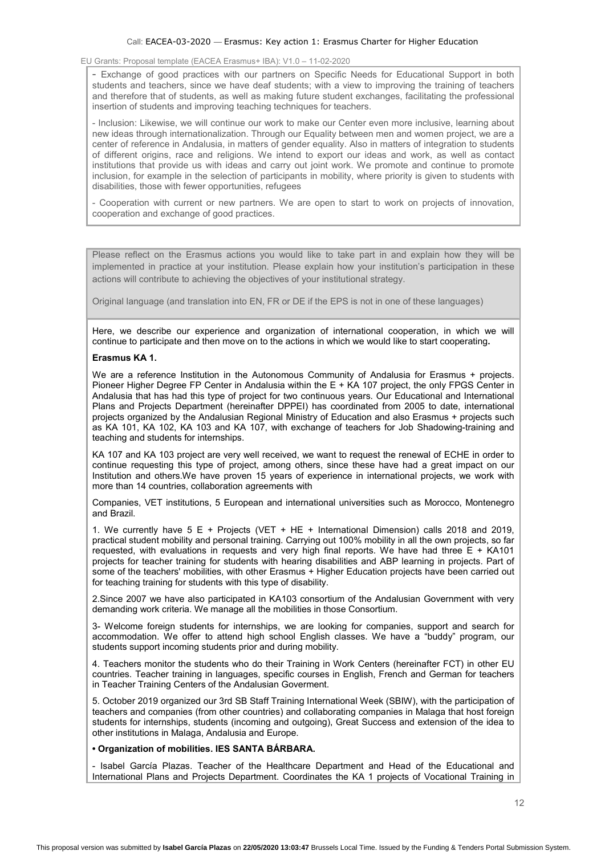#### Call: EACEA-03-2020 — Erasmus: Key action 1: Erasmus Charter for Higher Education

## EU Grants: Proposal template (EACEA Erasmus+ IBA): V1.0 – 11-02-2020

- Exchange of good practices with our partners on Specific Needs for Educational Support in both students and teachers, since we have deaf students; with a view to improving the training of teachers and therefore that of students, as well as making future student exchanges, facilitating the professional insertion of students and improving teaching techniques for teachers.

- Inclusion: Likewise, we will continue our work to make our Center even more inclusive, learning about new ideas through internationalization. Through our Equality between men and women project, we are a center of reference in Andalusia, in matters of gender equality. Also in matters of integration to students of different origins, race and religions. We intend to export our ideas and work, as well as contact institutions that provide us with ideas and carry out joint work. We promote and continue to promote inclusion, for example in the selection of participants in mobility, where priority is given to students with disabilities, those with fewer opportunities, refugees

- Cooperation with current or new partners. We are open to start to work on projects of innovation, cooperation and exchange of good practices.

Please reflect on the Erasmus actions you would like to take part in and explain how they will be implemented in practice at your institution. Please explain how your institution's participation in these actions will contribute to achieving the objectives of your institutional strategy.

Original language (and translation into EN, FR or DE if the EPS is not in one of these languages)

Here, we describe our experience and organization of international cooperation, in which we will continue to participate and then move on to the actions in which we would like to start cooperating.

### Erasmus KA 1.

We are a reference Institution in the Autonomous Community of Andalusia for Erasmus + projects. Pioneer Higher Degree FP Center in Andalusia within the E + KA 107 project, the only FPGS Center in Andalusia that has had this type of project for two continuous years. Our Educational and International Plans and Projects Department (hereinafter DPPEI) has coordinated from 2005 to date, international projects organized by the Andalusian Regional Ministry of Education and also Erasmus + projects such as KA 101, KA 102, KA 103 and KA 107, with exchange of teachers for Job Shadowing-training and teaching and students for internships.

KA 107 and KA 103 project are very well received, we want to request the renewal of ECHE in order to continue requesting this type of project, among others, since these have had a great impact on our Institution and others.We have proven 15 years of experience in international projects, we work with more than 14 countries, collaboration agreements with

Companies, VET institutions, 5 European and international universities such as Morocco, Montenegro and Brazil.

1. We currently have 5 E + Projects (VET + HE + International Dimension) calls 2018 and 2019, practical student mobility and personal training. Carrying out 100% mobility in all the own projects, so far requested, with evaluations in requests and very high final reports. We have had three E + KA101 projects for teacher training for students with hearing disabilities and ABP learning in projects. Part of some of the teachers' mobilities, with other Erasmus + Higher Education projects have been carried out for teaching training for students with this type of disability.

2.Since 2007 we have also participated in KA103 consortium of the Andalusian Government with very demanding work criteria. We manage all the mobilities in those Consortium.

3- Welcome foreign students for internships, we are looking for companies, support and search for accommodation. We offer to attend high school English classes. We have a "buddy" program, our students support incoming students prior and during mobility.

4. Teachers monitor the students who do their Training in Work Centers (hereinafter FCT) in other EU countries. Teacher training in languages, specific courses in English, French and German for teachers in Teacher Training Centers of the Andalusian Goverment.

5. October 2019 organized our 3rd SB Staff Training International Week (SBIW), with the participation of teachers and companies (from other countries) and collaborating companies in Malaga that host foreign students for internships, students (incoming and outgoing), Great Success and extension of the idea to other institutions in Malaga, Andalusia and Europe.

# • Organization of mobilities. IES SANTA BÁRBARA.

- Isabel García Plazas. Teacher of the Healthcare Department and Head of the Educational and International Plans and Projects Department. Coordinates the KA 1 projects of Vocational Training in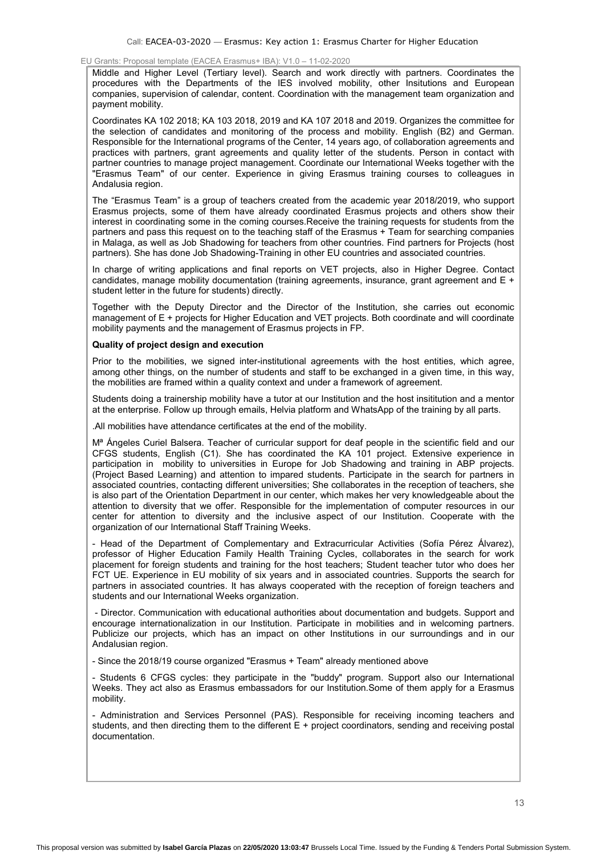Middle and Higher Level (Tertiary level). Search and work directly with partners. Coordinates the procedures with the Departments of the IES involved mobility, other Insitutions and European companies, supervision of calendar, content. Coordination with the management team organization and payment mobility.

Coordinates KA 102 2018; KA 103 2018, 2019 and KA 107 2018 and 2019. Organizes the committee for the selection of candidates and monitoring of the process and mobility. English (B2) and German. Responsible for the International programs of the Center, 14 years ago, of collaboration agreements and practices with partners, grant agreements and quality letter of the students. Person in contact with partner countries to manage project management. Coordinate our International Weeks together with the "Erasmus Team" of our center. Experience in giving Erasmus training courses to colleagues in Andalusia region.

The "Erasmus Team" is a group of teachers created from the academic year 2018/2019, who support Erasmus projects, some of them have already coordinated Erasmus projects and others show their interest in coordinating some in the coming courses.Receive the training requests for students from the partners and pass this request on to the teaching staff of the Erasmus + Team for searching companies in Malaga, as well as Job Shadowing for teachers from other countries. Find partners for Projects (host partners). She has done Job Shadowing-Training in other EU countries and associated countries.

In charge of writing applications and final reports on VET projects, also in Higher Degree. Contact candidates, manage mobility documentation (training agreements, insurance, grant agreement and E + student letter in the future for students) directly.

Together with the Deputy Director and the Director of the Institution, she carries out economic management of E + projects for Higher Education and VET projects. Both coordinate and will coordinate mobility payments and the management of Erasmus projects in FP.

### Quality of project design and execution

Prior to the mobilities, we signed inter-institutional agreements with the host entities, which agree, among other things, on the number of students and staff to be exchanged in a given time, in this way, the mobilities are framed within a quality context and under a framework of agreement.

Students doing a trainership mobility have a tutor at our Institution and the host insititution and a mentor at the enterprise. Follow up through emails, Helvia platform and WhatsApp of the training by all parts.

.All mobilities have attendance certificates at the end of the mobility.

M<sup>a</sup> Ángeles Curiel Balsera. Teacher of curricular support for deaf people in the scientific field and our CFGS students, English (C1). She has coordinated the KA 101 project. Extensive experience in participation in mobility to universities in Europe for Job Shadowing and training in ABP projects. (Project Based Learning) and attention to impared students. Participate in the search for partners in associated countries, contacting different universities; She collaborates in the reception of teachers, she is also part of the Orientation Department in our center, which makes her very knowledgeable about the attention to diversity that we offer. Responsible for the implementation of computer resources in our center for attention to diversity and the inclusive aspect of our Institution. Cooperate with the organization of our International Staff Training Weeks.

- Head of the Department of Complementary and Extracurricular Activities (Sofía Pérez Álvarez), professor of Higher Education Family Health Training Cycles, collaborates in the search for work placement for foreign students and training for the host teachers; Student teacher tutor who does her FCT UE. Experience in EU mobility of six years and in associated countries. Supports the search for partners in associated countries. It has always cooperated with the reception of foreign teachers and students and our International Weeks organization.

 - Director. Communication with educational authorities about documentation and budgets. Support and encourage internationalization in our Institution. Participate in mobilities and in welcoming partners. Publicize our projects, which has an impact on other Institutions in our surroundings and in our Andalusian region.

- Since the 2018/19 course organized "Erasmus + Team" already mentioned above

- Students 6 CFGS cycles: they participate in the "buddy" program. Support also our International Weeks. They act also as Erasmus embassadors for our Institution.Some of them apply for a Erasmus mobility.

- Administration and Services Personnel (PAS). Responsible for receiving incoming teachers and students, and then directing them to the different E + project coordinators, sending and receiving postal documentation.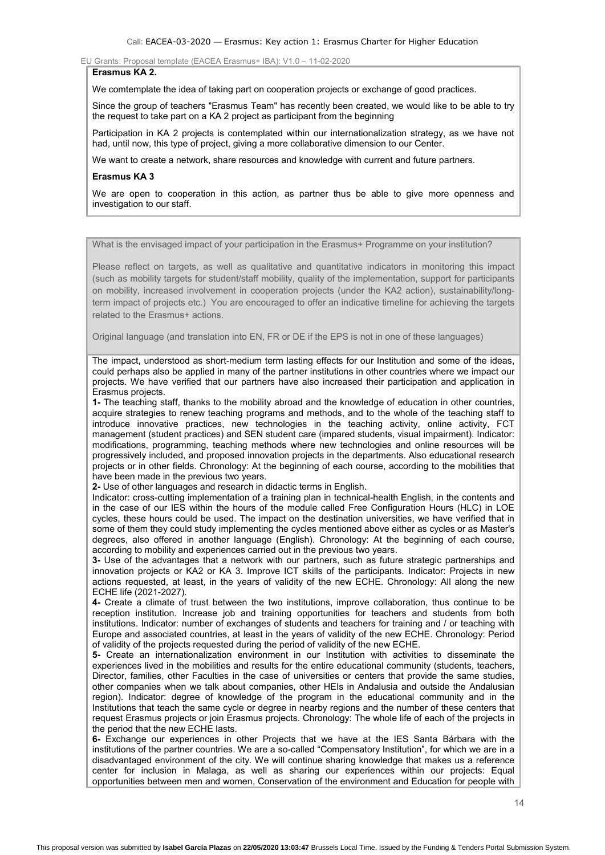# Erasmus KA 2.

We comtemplate the idea of taking part on cooperation projects or exchange of good practices.

Since the group of teachers "Erasmus Team" has recently been created, we would like to be able to try the request to take part on a KA 2 project as participant from the beginning

Participation in KA 2 projects is contemplated within our internationalization strategy, as we have not had, until now, this type of project, giving a more collaborative dimension to our Center.

We want to create a network, share resources and knowledge with current and future partners.

#### Erasmus KA 3

We are open to cooperation in this action, as partner thus be able to give more openness and investigation to our staff.

## What is the envisaged impact of your participation in the Erasmus+ Programme on your institution?

Please reflect on targets, as well as qualitative and quantitative indicators in monitoring this impact (such as mobility targets for student/staff mobility, quality of the implementation, support for participants on mobility, increased involvement in cooperation projects (under the KA2 action), sustainability/longterm impact of projects etc.) You are encouraged to offer an indicative timeline for achieving the targets related to the Erasmus+ actions.

Original language (and translation into EN, FR or DE if the EPS is not in one of these languages)

The impact, understood as short-medium term lasting effects for our Institution and some of the ideas, could perhaps also be applied in many of the partner institutions in other countries where we impact our projects. We have verified that our partners have also increased their participation and application in Erasmus projects.

1- The teaching staff, thanks to the mobility abroad and the knowledge of education in other countries, acquire strategies to renew teaching programs and methods, and to the whole of the teaching staff to introduce innovative practices, new technologies in the teaching activity, online activity, FCT management (student practices) and SEN student care (impared students, visual impairment). Indicator: modifications, programming, teaching methods where new technologies and online resources will be progressively included, and proposed innovation projects in the departments. Also educational research projects or in other fields. Chronology: At the beginning of each course, according to the mobilities that have been made in the previous two years.

2- Use of other languages and research in didactic terms in English.

Indicator: cross-cutting implementation of a training plan in technical-health English, in the contents and in the case of our IES within the hours of the module called Free Configuration Hours (HLC) in LOE cycles, these hours could be used. The impact on the destination universities, we have verified that in some of them they could study implementing the cycles mentioned above either as cycles or as Master's degrees, also offered in another language (English). Chronology: At the beginning of each course, according to mobility and experiences carried out in the previous two years.

3- Use of the advantages that a network with our partners, such as future strategic partnerships and innovation projects or KA2 or KA 3. Improve ICT skills of the participants. Indicator: Projects in new actions requested, at least, in the years of validity of the new ECHE. Chronology: All along the new ECHE life (2021-2027).

4- Create a climate of trust between the two institutions, improve collaboration, thus continue to be reception institution. Increase job and training opportunities for teachers and students from both institutions. Indicator: number of exchanges of students and teachers for training and / or teaching with Europe and associated countries, at least in the years of validity of the new ECHE. Chronology: Period of validity of the projects requested during the period of validity of the new ECHE.

5- Create an internationalization environment in our Institution with activities to disseminate the experiences lived in the mobilities and results for the entire educational community (students, teachers, Director, families, other Faculties in the case of universities or centers that provide the same studies, other companies when we talk about companies, other HEIs in Andalusia and outside the Andalusian region). Indicator: degree of knowledge of the program in the educational community and in the Institutions that teach the same cycle or degree in nearby regions and the number of these centers that request Erasmus projects or join Erasmus projects. Chronology: The whole life of each of the projects in the period that the new ECHE lasts.

6- Exchange our experiences in other Projects that we have at the IES Santa Bárbara with the institutions of the partner countries. We are a so-called "Compensatory Institution", for which we are in a disadvantaged environment of the city. We will continue sharing knowledge that makes us a reference center for inclusion in Malaga, as well as sharing our experiences within our projects: Equal opportunities between men and women, Conservation of the environment and Education for people with